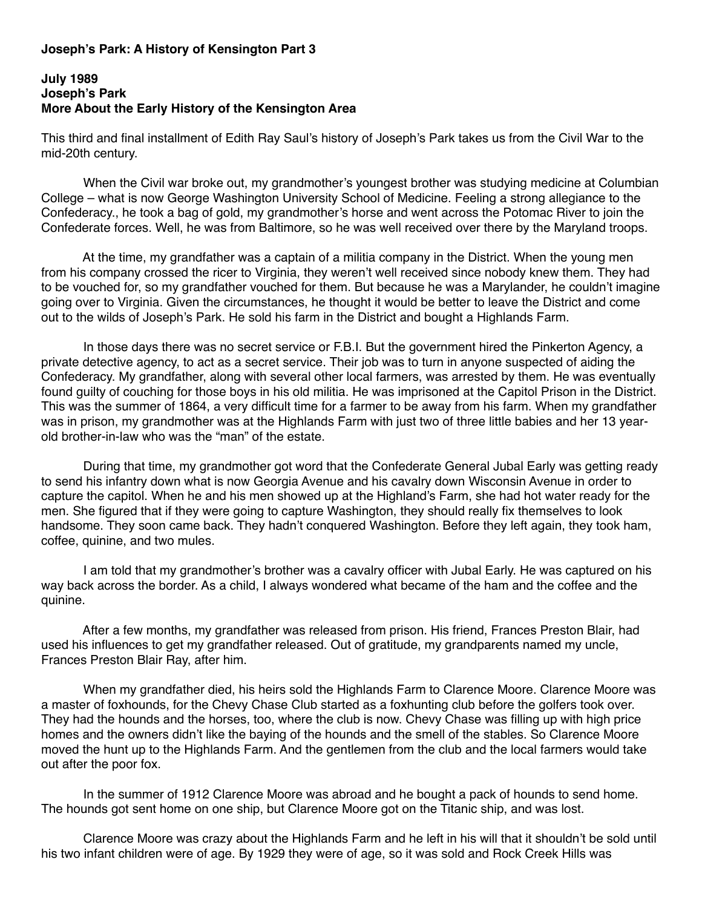## **Joseph's Park: A History of Kensington Part 3**

## **July 1989 Joseph's Park More About the Early History of the Kensington Area**

This third and final installment of Edith Ray Saul's history of Joseph's Park takes us from the Civil War to the mid-20th century.

 When the Civil war broke out, my grandmother's youngest brother was studying medicine at Columbian College – what is now George Washington University School of Medicine. Feeling a strong allegiance to the Confederacy., he took a bag of gold, my grandmother's horse and went across the Potomac River to join the Confederate forces. Well, he was from Baltimore, so he was well received over there by the Maryland troops.

 At the time, my grandfather was a captain of a militia company in the District. When the young men from his company crossed the ricer to Virginia, they weren't well received since nobody knew them. They had to be vouched for, so my grandfather vouched for them. But because he was a Marylander, he couldn't imagine going over to Virginia. Given the circumstances, he thought it would be better to leave the District and come out to the wilds of Joseph's Park. He sold his farm in the District and bought a Highlands Farm.

 In those days there was no secret service or F.B.I. But the government hired the Pinkerton Agency, a private detective agency, to act as a secret service. Their job was to turn in anyone suspected of aiding the Confederacy. My grandfather, along with several other local farmers, was arrested by them. He was eventually found guilty of couching for those boys in his old militia. He was imprisoned at the Capitol Prison in the District. This was the summer of 1864, a very difficult time for a farmer to be away from his farm. When my grandfather was in prison, my grandmother was at the Highlands Farm with just two of three little babies and her 13 yearold brother-in-law who was the "man" of the estate.

 During that time, my grandmother got word that the Confederate General Jubal Early was getting ready to send his infantry down what is now Georgia Avenue and his cavalry down Wisconsin Avenue in order to capture the capitol. When he and his men showed up at the Highland's Farm, she had hot water ready for the men. She figured that if they were going to capture Washington, they should really fix themselves to look handsome. They soon came back. They hadn't conquered Washington. Before they left again, they took ham, coffee, quinine, and two mules.

 I am told that my grandmother's brother was a cavalry officer with Jubal Early. He was captured on his way back across the border. As a child, I always wondered what became of the ham and the coffee and the quinine.

 After a few months, my grandfather was released from prison. His friend, Frances Preston Blair, had used his influences to get my grandfather released. Out of gratitude, my grandparents named my uncle, Frances Preston Blair Ray, after him.

 When my grandfather died, his heirs sold the Highlands Farm to Clarence Moore. Clarence Moore was a master of foxhounds, for the Chevy Chase Club started as a foxhunting club before the golfers took over. They had the hounds and the horses, too, where the club is now. Chevy Chase was filling up with high price homes and the owners didn't like the baying of the hounds and the smell of the stables. So Clarence Moore moved the hunt up to the Highlands Farm. And the gentlemen from the club and the local farmers would take out after the poor fox.

 In the summer of 1912 Clarence Moore was abroad and he bought a pack of hounds to send home. The hounds got sent home on one ship, but Clarence Moore got on the Titanic ship, and was lost.

 Clarence Moore was crazy about the Highlands Farm and he left in his will that it shouldn't be sold until his two infant children were of age. By 1929 they were of age, so it was sold and Rock Creek Hills was